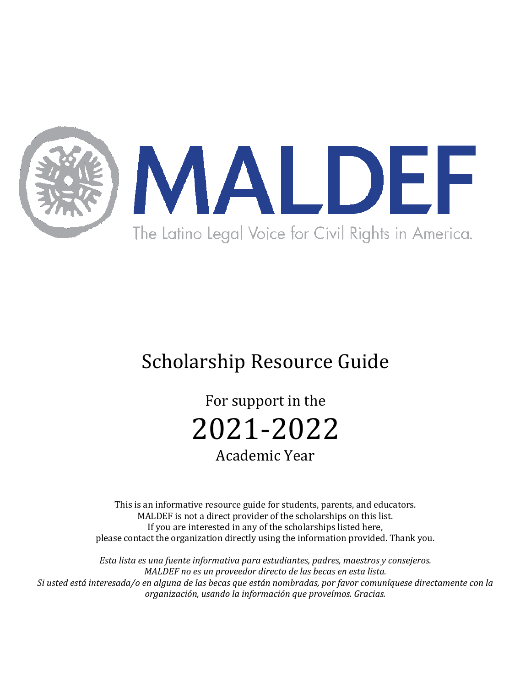

# Scholarship Resource Guide

For support in the 2021-2022 Academic Year

This is an informative resource guide for students, parents, and educators. MALDEF is not a direct provider of the scholarships on this list. If you are interested in any of the scholarships listed here, please contact the organization directly using the information provided. Thank you.

*Esta lista es una fuente informativa para estudiantes, padres, maestros y consejeros. MALDEF* no es un proveedor directo de las becas en esta lista. *Si* usted está interesada/o en alguna de las becas que están nombradas, por favor comuníquese directamente con la *organización, usando la información que proveímos. Gracias.*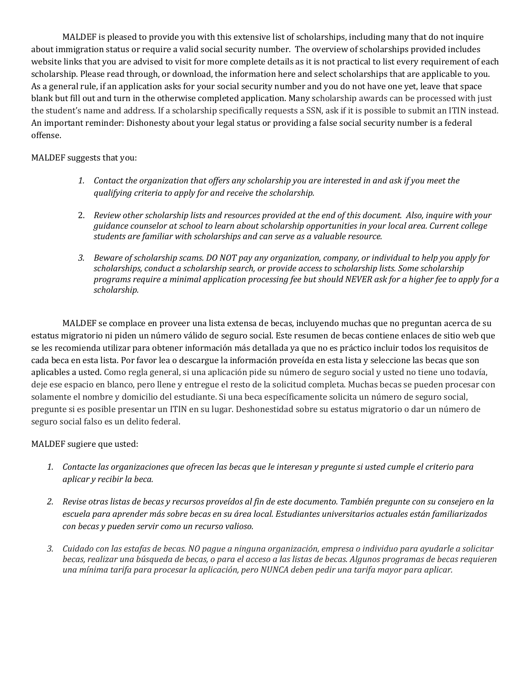MALDEF is pleased to provide you with this extensive list of scholarships, including many that do not inquire about immigration status or require a valid social security number. The overview of scholarships provided includes website links that you are advised to visit for more complete details as it is not practical to list every requirement of each scholarship. Please read through, or download, the information here and select scholarships that are applicable to you. As a general rule, if an application asks for your social security number and you do not have one yet, leave that space blank but fill out and turn in the otherwise completed application. Many scholarship awards can be processed with just the student's name and address. If a scholarship specifically requests a SSN, ask if it is possible to submit an ITIN instead. An important reminder: Dishonesty about your legal status or providing a false social security number is a federal offense. 

#### MALDEF suggests that you:

- 1. Contact the organization that offers any scholarship you are interested in and ask if you meet the *gualifying criteria to apply for and receive the scholarship.*
- 2. Review other scholarship lists and resources provided at the end of this document. Also, inquire with your *guidance counselor at school to learn about scholarship opportunities in your local area. Current college* students are familiar with scholarships and can serve as a valuable resource.
- 3. Beware of scholarship scams. DO NOT pay any organization, company, or individual to help you apply for scholarships, conduct a scholarship search, or provide access to scholarship lists. Some scholarship programs require a minimal application processing fee but should NEVER ask for a higher fee to apply for a *scholarship.*

MALDEF se complace en proveer una lista extensa de becas, incluyendo muchas que no preguntan acerca de su estatus migratorio ni piden un número válido de seguro social. Este resumen de becas contiene enlaces de sitio web que se les recomienda utilizar para obtener información más detallada ya que no es práctico incluir todos los requisitos de cada beca en esta lista. Por favor lea o descargue la información proveída en esta lista y seleccione las becas que son aplicables a usted. Como regla general, si una aplicación pide su número de seguro social y usted no tiene uno todavía, deje ese espacio en blanco, pero llene y entregue el resto de la solicitud completa. Muchas becas se pueden procesar con solamente el nombre y domicilio del estudiante. Si una beca específicamente solicita un número de seguro social, pregunte si es posible presentar un ITIN en su lugar. Deshonestidad sobre su estatus migratorio o dar un número de seguro social falso es un delito federal.

MALDEF sugiere que usted:

- 1. Contacte las organizaciones que ofrecen las becas que le interesan y pregunte si usted cumple el criterio para *aplicar y recibir la beca.*
- 2. Revise otras listas de becas y recursos proveídos al fin de este documento. También pregunte con su consejero en la escuela para aprender más sobre becas en su área local. Estudiantes universitarios actuales están familiarizados *con becas y pueden servir como un recurso valioso.*
- 3. Cuidado con las estafas de becas. NO pague a ninguna organización, empresa o individuo para ayudarle a solicitar *becas, realizar una búsqueda de becas, o para el acceso a las listas de becas. Algunos programas de becas requieren* una mínima tarifa para procesar la aplicación, pero NUNCA deben pedir una tarifa mayor para aplicar.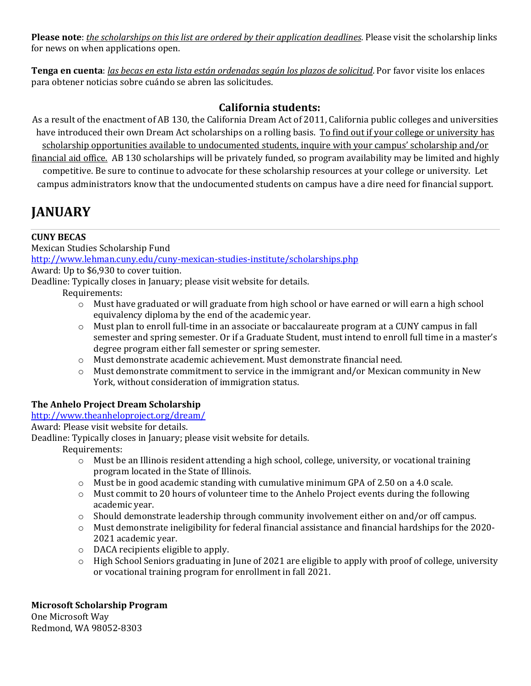**Please note**: *the scholarships on this list are ordered by their application deadlines*. Please visit the scholarship links for news on when applications open.

**Tenga en cuenta**: *las becas en esta lista están ordenadas según los plazos de solicitud*. Por favor visite los enlaces para obtener noticias sobre cuándo se abren las solicitudes.

## **California students:**

As a result of the enactment of AB 130, the California Dream Act of 2011, California public colleges and universities have introduced their own Dream Act scholarships on a rolling basis. To find out if your college or university has scholarship opportunities available to undocumented students, inquire with your campus' scholarship and/or financial aid office. AB 130 scholarships will be privately funded, so program availability may be limited and highly

competitive. Be sure to continue to advocate for these scholarship resources at your college or university. Let campus administrators know that the undocumented students on campus have a dire need for financial support.

## **JANUARY**

## **CUNY BECAS**

Mexican Studies Scholarship Fund http://www.lehman.cuny.edu/cuny-mexican-studies-institute/scholarships.php Award: Up to \$6,930 to cover tuition. Deadline: Typically closes in January; please visit website for details.

Requirements:

- $\circ$  Must have graduated or will graduate from high school or have earned or will earn a high school equivalency diploma by the end of the academic year.
- $\circ$  Must plan to enroll full-time in an associate or baccalaureate program at a CUNY campus in fall semester and spring semester. Or if a Graduate Student, must intend to enroll full time in a master's degree program either fall semester or spring semester.
- o Must demonstrate academic achievement. Must demonstrate financial need.
- $\circ$  Must demonstrate commitment to service in the immigrant and/or Mexican community in New York, without consideration of immigration status.

## **The Anhelo Project Dream Scholarship**

## http://www.theanheloproject.org/dream/

Award: Please visit website for details.

Deadline: Typically closes in January; please visit website for details.

Requirements:

- o Must be an Illinois resident attending a high school, college, university, or vocational training program located in the State of Illinois.
- $\circ$  Must be in good academic standing with cumulative minimum GPA of 2.50 on a 4.0 scale.
- $\circ$  Must commit to 20 hours of volunteer time to the Anhelo Project events during the following academic year.
- $\circ$  Should demonstrate leadership through community involvement either on and/or off campus.
- $\circ$  Must demonstrate ineligibility for federal financial assistance and financial hardships for the 2020-2021 academic year.
- $\circ$  DACA recipients eligible to apply.
- o High School Seniors graduating in June of 2021 are eligible to apply with proof of college, university or vocational training program for enrollment in fall 2021.

## **Microsoft Scholarship Program**

One Microsoft Way Redmond, WA 98052-8303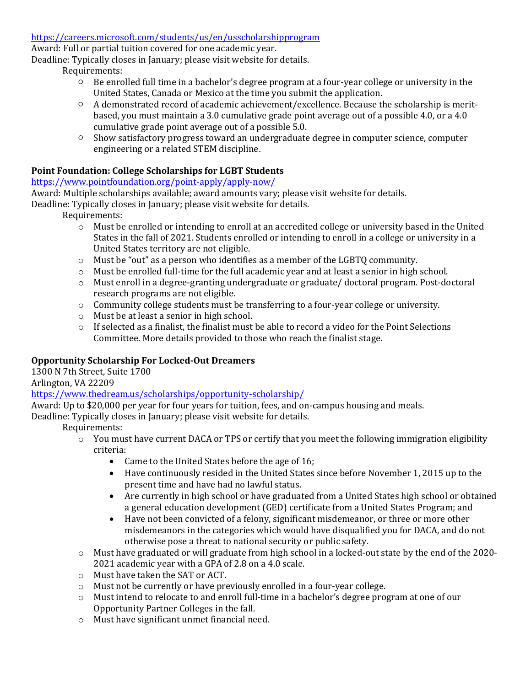https://careers.microsoft.com/students/us/en/usscholarshipprogram 

Award: Full or partial tuition covered for one academic year.

Deadline: Typically closes in January; please visit website for details.

## Requirements:

- $\circ$  Be enrolled full time in a bachelor's degree program at a four-year college or university in the United States, Canada or Mexico at the time you submit the application.
- $\circ$  A demonstrated record of academic achievement/excellence. Because the scholarship is meritbased, you must maintain a 3.0 cumulative grade point average out of a possible 4.0, or a 4.0 cumulative grade point average out of a possible 5.0.
- Show satisfactory progress toward an undergraduate degree in computer science, computer engineering or a related STEM discipline.

## Point Foundation: College Scholarships for LGBT Students

## https://www.pointfoundation.org/point-apply/apply-now/

Award: Multiple scholarships available; award amounts vary; please visit website for details.

Deadline: Typically closes in January; please visit website for details.

Requirements:

- o Must be enrolled or intending to enroll at an accredited college or university based in the United States in the fall of 2021. Students enrolled or intending to enroll in a college or university in a United States territory are not eligible.
- $\circ$  Must be "out" as a person who identifies as a member of the LGBTQ community.
- $\circ$  Must be enrolled full-time for the full academic year and at least a senior in high school.
- $\circ$  Must enroll in a degree-granting undergraduate or graduate/ doctoral program. Post-doctoral research programs are not eligible.
- o Community college students must be transferring to a four-year college or university.
- $\circ$  Must be at least a senior in high school.
- $\circ$  If selected as a finalist, the finalist must be able to record a video for the Point Selections Committee. More details provided to those who reach the finalist stage.

## **Opportunity Scholarship For Locked-Out Dreamers**

1300 N 7th Street, Suite 1700

Arlington, VA 22209

https://www.thedream.us/scholarships/opportunity-scholarship/

Award: Up to \$20,000 per year for four years for tuition, fees, and on-campus housing and meals.

Deadline: Typically closes in January; please visit website for details.

- $\circ$  You must have current DACA or TPS or certify that you meet the following immigration eligibility criteria:
	- Came to the United States before the age of 16;
	- Have continuously resided in the United States since before November 1, 2015 up to the present time and have had no lawful status.
	- Are currently in high school or have graduated from a United States high school or obtained a general education development (GED) certificate from a United States Program; and
	- Have not been convicted of a felony, significant misdemeanor, or three or more other misdemeanors in the categories which would have disqualified you for DACA, and do not otherwise pose a threat to national security or public safety.
- o Must have graduated or will graduate from high school in a locked-out state by the end of the 2020-2021 academic year with a GPA of 2.8 on a 4.0 scale.
- $\circ$  Must have taken the SAT or ACT.
- $\circ$  Must not be currently or have previously enrolled in a four-year college.
- $\circ$  Must intend to relocate to and enroll full-time in a bachelor's degree program at one of our Opportunity Partner Colleges in the fall.
- $\circ$  Must have significant unmet financial need.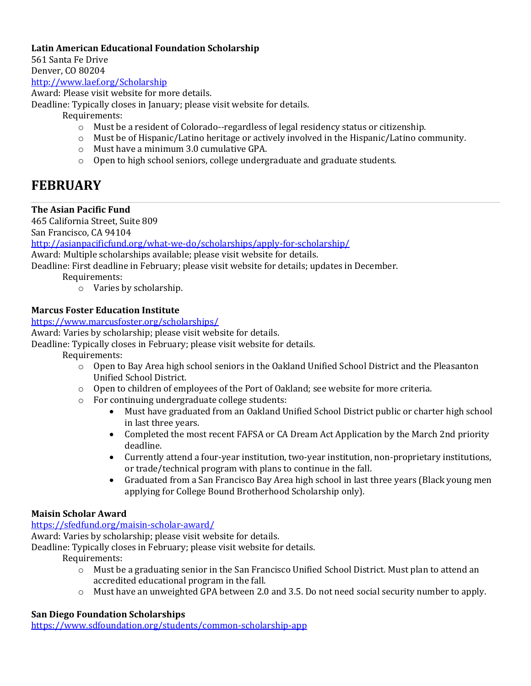## Latin American Educational Foundation Scholarship

561 Santa Fe Drive

Denver, CO 80204

http://www.laef.org/Scholarship

Award: Please visit website for more details.

Deadline: Typically closes in January; please visit website for details.

Requirements:

- $\circ$  Must be a resident of Colorado--regardless of legal residency status or citizenship.
- o Must be of Hispanic/Latino heritage or actively involved in the Hispanic/Latino community.
- $\circ$  Must have a minimum 3.0 cumulative GPA.
- $\circ$  Open to high school seniors, college undergraduate and graduate students.

## **FEBRUARY**

## **The Asian Pacific Fund**

465 California Street, Suite 809

San Francisco, CA 94104

http://asianpacificfund.org/what-we-do/scholarships/apply-for-scholarship/

Award: Multiple scholarships available; please visit website for details.

Deadline: First deadline in February; please visit website for details; updates in December.

Requirements:

 $\circ$  Varies by scholarship.

## **Marcus Foster Education Institute**

https://www.marcusfoster.org/scholarships/

Award: Varies by scholarship; please visit website for details.

Deadline: Typically closes in February; please visit website for details.

Requirements:

- o Open to Bay Area high school seniors in the Oakland Unified School District and the Pleasanton Unified School District.
- $\circ$  Open to children of employees of the Port of Oakland; see website for more criteria.
- $\circ$  For continuing undergraduate college students:
	- Must have graduated from an Oakland Unified School District public or charter high school in last three years.
	- Completed the most recent FAFSA or CA Dream Act Application by the March 2nd priority deadline.
	- Currently attend a four-year institution, two-year institution, non-proprietary institutions, or trade/technical program with plans to continue in the fall.
	- Graduated from a San Francisco Bay Area high school in last three years (Black young men applying for College Bound Brotherhood Scholarship only).

## **Maisin Scholar Award**

## https://sfedfund.org/maisin-scholar-award/

Award: Varies by scholarship; please visit website for details.

Deadline: Typically closes in February; please visit website for details.

Requirements:

- $\circ$  Must be a graduating senior in the San Francisco Unified School District. Must plan to attend an accredited educational program in the fall.
- $\circ$  Must have an unweighted GPA between 2.0 and 3.5. Do not need social security number to apply.

## **San Diego Foundation Scholarships**

https://www.sdfoundation.org/students/common-scholarship-app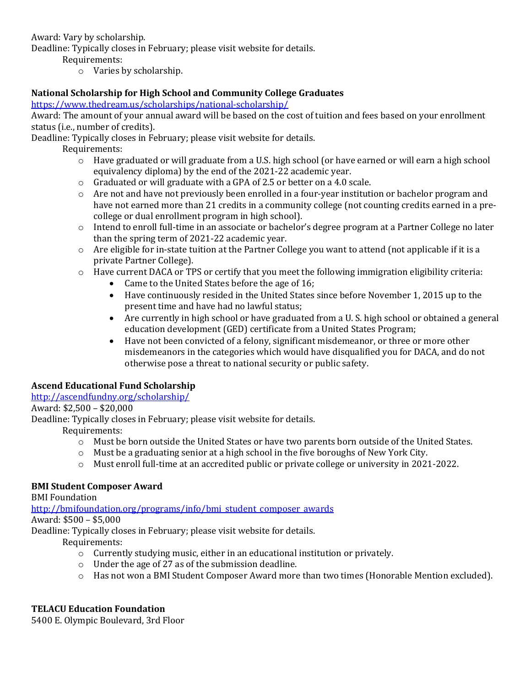Award: Vary by scholarship.

Deadline: Typically closes in February; please visit website for details.

Requirements:

 $\circ$  Varies by scholarship.

## **National Scholarship for High School and Community College Graduates**

https://www.thedream.us/scholarships/national-scholarship/

Award: The amount of your annual award will be based on the cost of tuition and fees based on your enrollment status (i.e., number of credits).

Deadline: Typically closes in February; please visit website for details.

Requirements:

- $\circ$  Have graduated or will graduate from a U.S. high school (or have earned or will earn a high school equivalency diploma) by the end of the 2021-22 academic year.
- $\circ$  Graduated or will graduate with a GPA of 2.5 or better on a 4.0 scale.
- $\circ$  Are not and have not previously been enrolled in a four-year institution or bachelor program and have not earned more than 21 credits in a community college (not counting credits earned in a precollege or dual enrollment program in high school).
- $\circ$  Intend to enroll full-time in an associate or bachelor's degree program at a Partner College no later than the spring term of 2021-22 academic year.
- $\circ$  Are eligible for in-state tuition at the Partner College you want to attend (not applicable if it is a private Partner College).
- $\circ$  Have current DACA or TPS or certify that you meet the following immigration eligibility criteria:
	- Came to the United States before the age of 16;
	- Have continuously resided in the United States since before November 1, 2015 up to the present time and have had no lawful status;
	- Are currently in high school or have graduated from a U. S. high school or obtained a general education development (GED) certificate from a United States Program;
	- Have not been convicted of a felony, significant misdemeanor, or three or more other misdemeanors in the categories which would have disqualified you for DACA, and do not otherwise pose a threat to national security or public safety.

## **Ascend Educational Fund Scholarship**

http://ascendfundny.org/scholarship/

Award: \$2,500 - \$20,000

Deadline: Typically closes in February; please visit website for details.

Requirements:

- $\circ$  Must be born outside the United States or have two parents born outside of the United States.
- $\circ$  Must be a graduating senior at a high school in the five boroughs of New York City.
- $\circ$  Must enroll full-time at an accredited public or private college or university in 2021-2022.

## **BMI Student Composer Award**

**BMI** Foundation

http://bmifoundation.org/programs/info/bmi\_student\_composer\_awards

Award: \$500 - \$5,000

Deadline: Typically closes in February; please visit website for details.

Requirements:

- $\circ$  Currently studying music, either in an educational institution or privately.
- $\circ$  Under the age of 27 as of the submission deadline.
- $\circ$  Has not won a BMI Student Composer Award more than two times (Honorable Mention excluded).

## **TELACU Education Foundation**

5400 E. Olympic Boulevard, 3rd Floor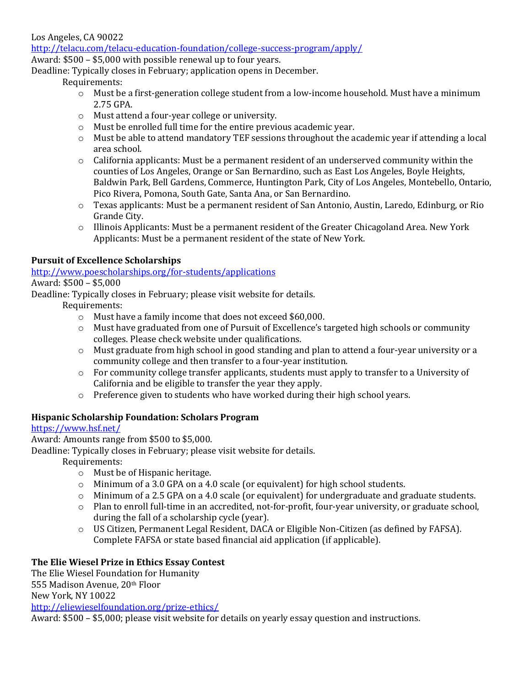Los Angeles, CA 90022

http://telacu.com/telacu-education-foundation/college-success-program/apply/

Award:  $$500 - $5,000$  with possible renewal up to four years.

Deadline: Typically closes in February; application opens in December.

Requirements:

- $\circ$  Must be a first-generation college student from a low-income household. Must have a minimum 2.75 GPA.
- o Must attend a four-year college or university.
- $\circ$  Must be enrolled full time for the entire previous academic year.
- o Must be able to attend mandatory TEF sessions throughout the academic year if attending a local area school.
- $\circ$  California applicants: Must be a permanent resident of an underserved community within the counties of Los Angeles, Orange or San Bernardino, such as East Los Angeles, Boyle Heights, Baldwin Park, Bell Gardens, Commerce, Huntington Park, City of Los Angeles, Montebello, Ontario, Pico Rivera, Pomona, South Gate, Santa Ana, or San Bernardino.
- $\circ$  Texas applicants: Must be a permanent resident of San Antonio, Austin, Laredo, Edinburg, or Rio Grande City.
- $\circ$  Illinois Applicants: Must be a permanent resident of the Greater Chicagoland Area. New York Applicants: Must be a permanent resident of the state of New York.

## **Pursuit of Excellence Scholarships**

http://www.poescholarships.org/for-students/applications

## Award: \$500 - \$5,000

Deadline: Typically closes in February; please visit website for details.

Requirements:

- $\circ$  Must have a family income that does not exceed \$60,000.
- $\circ$  Must have graduated from one of Pursuit of Excellence's targeted high schools or community colleges. Please check website under qualifications.
- $\circ$  Must graduate from high school in good standing and plan to attend a four-year university or a community college and then transfer to a four-year institution.
- $\circ$  For community college transfer applicants, students must apply to transfer to a University of California and be eligible to transfer the year they apply.
- $\circ$  Preference given to students who have worked during their high school years.

## **Hispanic Scholarship Foundation: Scholars Program**

## https://www.hsf.net/

Award: Amounts range from \$500 to \$5,000.

Deadline: Typically closes in February; please visit website for details.

Requirements:

- o Must be of Hispanic heritage.
- $\circ$  Minimum of a 3.0 GPA on a 4.0 scale (or equivalent) for high school students.
- $\circ$  Minimum of a 2.5 GPA on a 4.0 scale (or equivalent) for undergraduate and graduate students.
- $\circ$  Plan to enroll full-time in an accredited, not-for-profit, four-year university, or graduate school, during the fall of a scholarship cycle (year).
- o US Citizen, Permanent Legal Resident, DACA or Eligible Non-Citizen (as defined by FAFSA). Complete FAFSA or state based financial aid application (if applicable).

## The Elie Wiesel Prize in Ethics Essay Contest

The Elie Wiesel Foundation for Humanity 555 Madison Avenue, 20th Floor New York, NY 10022 http://eliewieselfoundation.org/prize-ethics/ 

Award:  $$500 - $5,000$ ; please visit website for details on yearly essay question and instructions.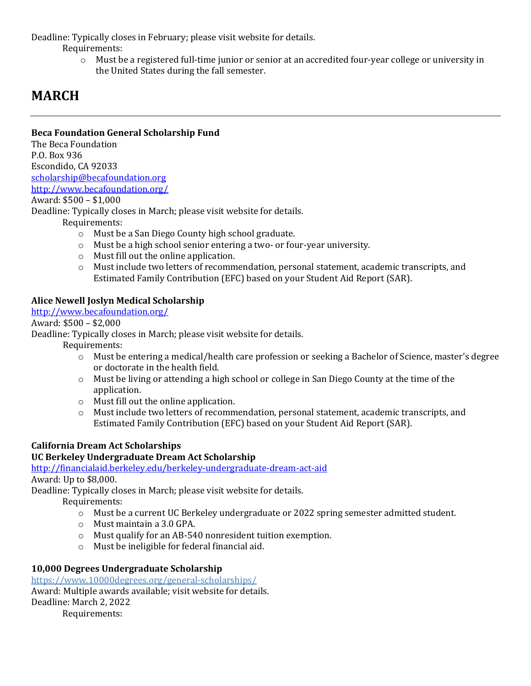Deadline: Typically closes in February; please visit website for details.

Requirements:

 $\circ$  Must be a registered full-time junior or senior at an accredited four-year college or university in the United States during the fall semester.

## **MARCH**

## **Beca Foundation General Scholarship Fund**

The Beca Foundation P.O. Box 936 Escondido, CA 92033 scholarship@becafoundation.org http://www.becafoundation.org/

## Award: \$500 - \$1,000

Deadline: Typically closes in March; please visit website for details.

Requirements:

- o Must be a San Diego County high school graduate.
- $\circ$  Must be a high school senior entering a two- or four-year university.
- $\circ$  Must fill out the online application.
- $\circ$  Must include two letters of recommendation, personal statement, academic transcripts, and Estimated Family Contribution (EFC) based on your Student Aid Report (SAR).

## **Alice Newell Joslyn Medical Scholarship**

http://www.becafoundation.org/

Award: \$500 - \$2,000

Deadline: Typically closes in March; please visit website for details.

 Requirements:

- $\circ$  Must be entering a medical/health care profession or seeking a Bachelor of Science, master's degree or doctorate in the health field.
- $\circ$  Must be living or attending a high school or college in San Diego County at the time of the application.
- $\circ$  Must fill out the online application.
- o Must include two letters of recommendation, personal statement, academic transcripts, and Estimated Family Contribution (EFC) based on your Student Aid Report (SAR).

## **California Dream Act Scholarships**

## **UC Berkeley Undergraduate Dream Act Scholarship**

http://financialaid.berkeley.edu/berkeley-undergraduate-dream-act-aid

Award: Up to \$8,000.

Deadline: Typically closes in March; please visit website for details.

Requirements:

- $\circ$  Must be a current UC Berkeley undergraduate or 2022 spring semester admitted student.
- o Must maintain a 3.0 GPA.
- $\circ$  Must qualify for an AB-540 nonresident tuition exemption.
- $\circ$  Must be ineligible for federal financial aid.

## **10,000 Degrees Undergraduate Scholarship**

https://www.10000degrees.org/general-scholarships/ Award: Multiple awards available; visit website for details. Deadline: March 2, 2022 Requirements: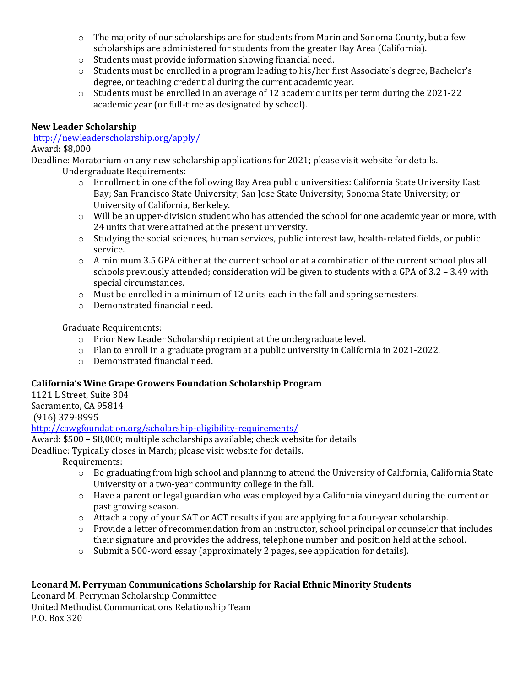- $\circ$  The majority of our scholarships are for students from Marin and Sonoma County, but a few scholarships are administered for students from the greater Bay Area (California).
- $\circ$  Students must provide information showing financial need.
- $\circ$  Students must be enrolled in a program leading to his/her first Associate's degree, Bachelor's degree, or teaching credential during the current academic year.
- $\circ$  Students must be enrolled in an average of 12 academic units per term during the 2021-22 academic year (or full-time as designated by school).

## **New Leader Scholarship**

## http://newleaderscholarship.org/apply/

## Award: \$8,000

Deadline: Moratorium on any new scholarship applications for 2021; please visit website for details. Undergraduate Requirements:

- $\circ$  Enrollment in one of the following Bay Area public universities: California State University East Bay; San Francisco State University; San Jose State University; Sonoma State University; or University of California, Berkeley.
- $\circ$  Will be an upper-division student who has attended the school for one academic year or more, with 24 units that were attained at the present university.
- o Studying the social sciences, human services, public interest law, health-related fields, or public service.
- $\circ$  A minimum 3.5 GPA either at the current school or at a combination of the current school plus all schools previously attended; consideration will be given to students with a GPA of 3.2 - 3.49 with special circumstances.
- $\circ$  Must be enrolled in a minimum of 12 units each in the fall and spring semesters.
- o Demonstrated financial need.

## Graduate Requirements:

- $\circ$  Prior New Leader Scholarship recipient at the undergraduate level.
- $\circ$  Plan to enroll in a graduate program at a public university in California in 2021-2022.
- $\circ$  Demonstrated financial need.

## **California's Wine Grape Growers Foundation Scholarship Program**

1121 L Street, Suite 304 Sacramento, CA 95814 (916) 379-8995

http://cawgfoundation.org/scholarship-eligibility-requirements/

Award:  $$500 - $8,000$ ; multiple scholarships available; check website for details

Deadline: Typically closes in March; please visit website for details.

Requirements:

- $\circ$  Be graduating from high school and planning to attend the University of California, California State University or a two-year community college in the fall.
- $\circ$  Have a parent or legal guardian who was employed by a California vineyard during the current or past growing season.
- $\circ$  Attach a copy of your SAT or ACT results if you are applying for a four-year scholarship.
- $\circ$  Provide a letter of recommendation from an instructor, school principal or counselor that includes their signature and provides the address, telephone number and position held at the school.
- $\circ$  Submit a 500-word essay (approximately 2 pages, see application for details).

## Leonard M. Perryman Communications Scholarship for Racial Ethnic Minority Students

Leonard M. Perryman Scholarship Committee United Methodist Communications Relationship Team P.O. Box 320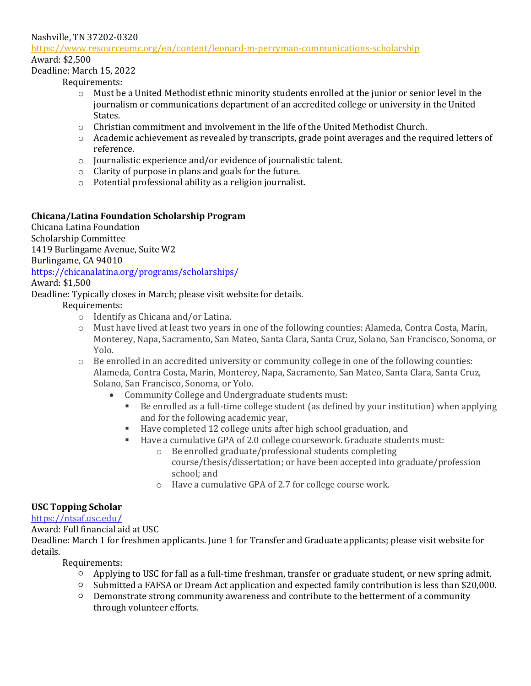#### Nashville, TN 37202-0320

#### https://www.resourceumc.org/en/content/leonard-m-perryman-communications-scholarship

Award: \$2,500

#### Deadline: March 15, 2022

Requirements:

- $\circ$  Must be a United Methodist ethnic minority students enrolled at the junior or senior level in the journalism or communications department of an accredited college or university in the United States.
- $\circ$  Christian commitment and involvement in the life of the United Methodist Church.
- o Academic achievement as revealed by transcripts, grade point averages and the required letters of reference.
- $\circ$  Journalistic experience and/or evidence of journalistic talent.
- $\circ$  Clarity of purpose in plans and goals for the future.
- $\circ$  Potential professional ability as a religion journalist.

## **Chicana/Latina Foundation Scholarship Program**

Chicana Latina Foundation Scholarship Committee 1419 Burlingame Avenue, Suite W2 Burlingame, CA 94010 https://chicanalatina.org/programs/scholarships/ Award: \$1,500

Deadline: Typically closes in March; please visit website for details.

Requirements: 

- $\circ$  Identify as Chicana and/or Latina.
- $\circ$  Must have lived at least two years in one of the following counties: Alameda, Contra Costa, Marin, Monterey, Napa, Sacramento, San Mateo, Santa Clara, Santa Cruz, Solano, San Francisco, Sonoma, or Yolo.
- $\circ$  Be enrolled in an accredited university or community college in one of the following counties: Alameda, Contra Costa, Marin, Monterey, Napa, Sacramento, San Mateo, Santa Clara, Santa Cruz, Solano, San Francisco, Sonoma, or Yolo.
	- Community College and Undergraduate students must:
		- Be enrolled as a full-time college student (as defined by your institution) when applying and for the following academic year,
		- Have completed 12 college units after high school graduation, and
		- Have a cumulative GPA of 2.0 college coursework. Graduate students must:
			- o Be enrolled graduate/professional students completing course/thesis/dissertation; or have been accepted into graduate/profession school; and
			- o Have a cumulative GPA of 2.7 for college course work.

## **USC Topping Scholar**

#### https://ntsaf.usc.edu**/**

Award: Full financial aid at USC

Deadline: March 1 for freshmen applicants. June 1 for Transfer and Graduate applicants; please visit website for details.

- $\circ$  Applying to USC for fall as a full-time freshman, transfer or graduate student, or new spring admit.
- $\circ$  Submitted a FAFSA or Dream Act application and expected family contribution is less than \$20,000.
- $\circ$  Demonstrate strong community awareness and contribute to the betterment of a community through volunteer efforts.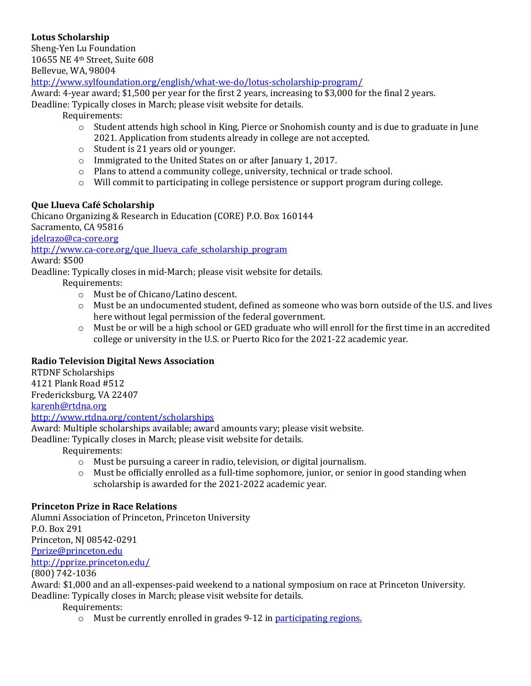## **Lotus Scholarship**

Sheng-Yen Lu Foundation 10655 NE 4th Street, Suite 608 Bellevue, WA, 98004

http://www.sylfoundation.org/english/what-we-do/lotus-scholarship-program/

Award: 4-year award;  $$1,500$  per year for the first 2 years, increasing to  $$3,000$  for the final 2 years.

Deadline: Typically closes in March; please visit website for details.

Requirements: 

- $\circ$  Student attends high school in King, Pierce or Snohomish county and is due to graduate in June 2021. Application from students already in college are not accepted.
- $\circ$  Student is 21 years old or younger.
- o Immigrated to the United States on or after January 1, 2017.
- $\circ$  Plans to attend a community college, university, technical or trade school.
- $\circ$  Will commit to participating in college persistence or support program during college.

## **Que Llueva Café Scholarship**

Chicano Organizing & Research in Education (CORE) P.O. Box 160144 Sacramento, CA 95816

jdelrazo@ca-core.org

http://www.ca-core.org/que\_llueva\_cafe\_scholarship\_program

#### Award: \$500

Deadline: Typically closes in mid-March; please visit website for details.

- Requirements:
	- o Must be of Chicano/Latino descent.
	- $\circ$  Must be an undocumented student, defined as someone who was born outside of the U.S. and lives here without legal permission of the federal government.
	- $\circ$  Must be or will be a high school or GED graduate who will enroll for the first time in an accredited college or university in the U.S. or Puerto Rico for the 2021-22 academic year.

## **Radio Television Digital News Association**

RTDNF Scholarships 4121 Plank Road #512 Fredericksburg, VA 22407 karenh@rtdna.org

http://www.rtdna.org/content/scholarships

Award: Multiple scholarships available; award amounts vary; please visit website.

Deadline: Typically closes in March; please visit website for details.

Requirements: 

- $\circ$  Must be pursuing a career in radio, television, or digital journalism.
- $\circ$  Must be officially enrolled as a full-time sophomore, junior, or senior in good standing when scholarship is awarded for the 2021-2022 academic year.

## **Princeton Prize in Race Relations**

Alumni Association of Princeton, Princeton University P.O. Box 291 Princeton, NJ 08542-0291 Pprize@princeton.edu http://pprize.princeton.edu/ 

(800) 742-1036

Award: \$1,000 and an all-expenses-paid weekend to a national symposium on race at Princeton University. Deadline: Typically closes in March; please visit website for details.

Requirements: 

 $\circ$  Must be currently enrolled in grades 9-12 in participating regions.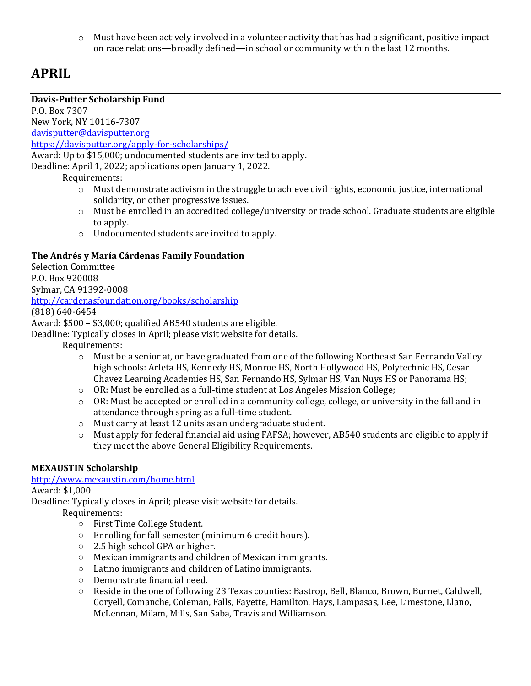$\circ$  Must have been actively involved in a volunteer activity that has had a significant, positive impact on race relations—broadly defined—in school or community within the last 12 months.

## **APRIL**

## **Davis-Putter Scholarship Fund**

P.O. Box 7307 New York, NY 10116-7307 davisputter@davisputter.org https://davisputter.org/apply-for-scholarships/ Award: Up to \$15,000; undocumented students are invited to apply. Deadline: April 1, 2022; applications open January 1, 2022.

Requirements:

- $\circ$  Must demonstrate activism in the struggle to achieve civil rights, economic justice, international solidarity, or other progressive issues.
- $\circ$  Must be enrolled in an accredited college/university or trade school. Graduate students are eligible to apply.
- $\circ$  Undocumented students are invited to apply.

## **The Andrés y María Cárdenas Family Foundation**

**Selection Committee** P.O. Box 920008 Sylmar, CA 91392-0008 http://cardenasfoundation.org/books/scholarship (818) 640-6454 Award:  $$500 - $3,000$ ; qualified AB540 students are eligible.

Deadline: Typically closes in April; please visit website for details.

Requirements: 

- $\circ$  Must be a senior at, or have graduated from one of the following Northeast San Fernando Valley high schools: Arleta HS, Kennedy HS, Monroe HS, North Hollywood HS, Polytechnic HS, Cesar Chavez Learning Academies HS, San Fernando HS, Sylmar HS, Van Nuys HS or Panorama HS;
- o OR: Must be enrolled as a full-time student at Los Angeles Mission College;
- $\circ$  OR: Must be accepted or enrolled in a community college, college, or university in the fall and in attendance through spring as a full-time student.
- $\circ$  Must carry at least 12 units as an undergraduate student.
- $\circ$  Must apply for federal financial aid using FAFSA; however, AB540 students are eligible to apply if they meet the above General Eligibility Requirements.

## **MEXAUSTIN Scholarship**

## http://www.mexaustin.com/home.html

Award: \$1,000

Deadline: Typically closes in April; please visit website for details.

- First Time College Student.
- $\circ$  Enrolling for fall semester (minimum 6 credit hours).
- $\circ$  2.5 high school GPA or higher.
- o Mexican immigrants and children of Mexican immigrants.
- Latino immigrants and children of Latino immigrants.
- o Demonstrate financial need.
- $\circ$  Reside in the one of following 23 Texas counties: Bastrop, Bell, Blanco, Brown, Burnet, Caldwell, Coryell, Comanche, Coleman, Falls, Fayette, Hamilton, Hays, Lampasas, Lee, Limestone, Llano, McLennan, Milam, Mills, San Saba, Travis and Williamson.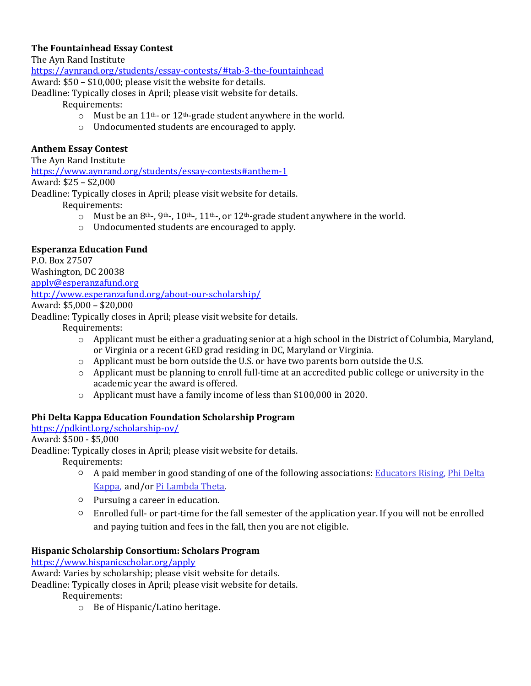## **The Fountainhead Essay Contest**

The Ayn Rand Institute

https://aynrand.org/students/essay-contests/#tab-3-the-fountainhead

Award:  $$50 - $10,000$ ; please visit the website for details.

Deadline: Typically closes in April; please visit website for details.

#### Requirements:

- $\circ$  Must be an 11<sup>th</sup>- or 12<sup>th</sup>-grade student anywhere in the world.
- $\circ$  Undocumented students are encouraged to apply.

## **Anthem Essay Contest**

The Ayn Rand Institute

https://www.aynrand.org/students/essay-contests#anthem-1

## Award: \$25 - \$2,000

Deadline: Typically closes in April; please visit website for details.

Requirements:

- $\circ$  Must be an 8<sup>th-</sup>, 9<sup>th-</sup>, 10<sup>th-</sup>, 11<sup>th-</sup>, or 12<sup>th</sup>-grade student anywhere in the world.
- o Undocumented students are encouraged to apply.

## **Esperanza Education Fund**

P.O. Box 27507 Washington, DC 20038 apply@esperanzafund.org http://www.esperanzafund.org/about-our-scholarship/

Award: \$5,000 - \$20,000

Deadline: Typically closes in April; please visit website for details.

Requirements:

- $\circ$  Applicant must be either a graduating senior at a high school in the District of Columbia, Maryland, or Virginia or a recent GED grad residing in DC, Maryland or Virginia.
- $\circ$  Applicant must be born outside the U.S. or have two parents born outside the U.S.
- $\circ$  Applicant must be planning to enroll full-time at an accredited public college or university in the academic year the award is offered.
- $\circ$  Applicant must have a family income of less than \$100,000 in 2020.

## **Phi Delta Kappa Education Foundation Scholarship Program**

https://pdkintl.org/scholarship-ov/

## Award: \$500 - \$5,000

Deadline: Typically closes in April; please visit website for details.

Requirements: 

- $\circ$  A paid member in good standing of one of the following associations: Educators Rising, Phi Delta Kappa, and/or Pi Lambda Theta.
- $\circ$  Pursuing a career in education.
- $\circ$  Enrolled full- or part-time for the fall semester of the application year. If you will not be enrolled and paying tuition and fees in the fall, then you are not eligible.

## **Hispanic Scholarship Consortium: Scholars Program**

https://www.hispanicscholar.org/apply

Award: Varies by scholarship; please visit website for details.

Deadline: Typically closes in April; please visit website for details.

Requirements:

 $\circ$  Be of Hispanic/Latino heritage.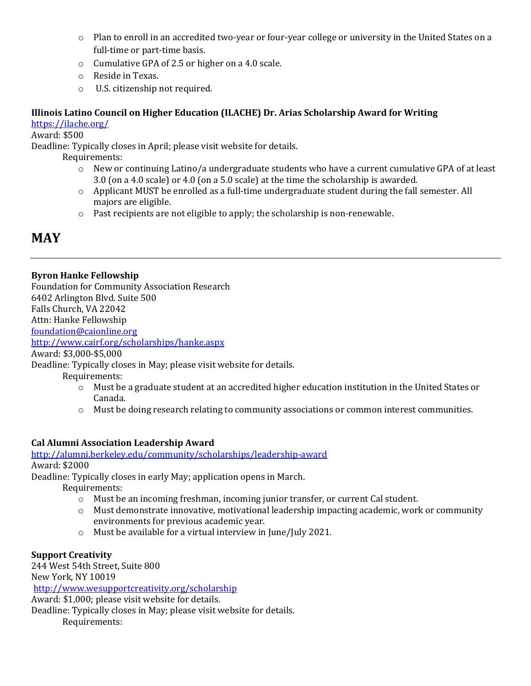- $\circ$  Plan to enroll in an accredited two-year or four-year college or university in the United States on a full-time or part-time basis.
- $\circ$  Cumulative GPA of 2.5 or higher on a 4.0 scale.
- $\circ$  Reside in Texas.
- $\circ$  U.S. citizenship not required.

## **Illinois Latino Council on Higher Education (ILACHE) Dr. Arias Scholarship Award for Writing**

https://ilache.org/

Award: \$500

Deadline: Typically closes in April; please visit website for details.

Requirements:

- $\circ$  New or continuing Latino/a undergraduate students who have a current cumulative GPA of at least 3.0 (on a 4.0 scale) or 4.0 (on a 5.0 scale) at the time the scholarship is awarded.
- $\circ$  Applicant MUST be enrolled as a full-time undergraduate student during the fall semester. All majors are eligible.
- $\circ$  Past recipients are not eligible to apply; the scholarship is non-renewable.

## **MAY**

## **Byron Hanke Fellowship**

Foundation for Community Association Research 6402 Arlington Blvd. Suite 500 Falls Church, VA 22042 Attn: Hanke Fellowship

foundation@caionline.org

http://www.cairf.org/scholarships/hanke.aspx

Award: \$3,000-\$5,000

Deadline: Typically closes in May; please visit website for details.

Requirements:

- $\circ$  Must be a graduate student at an accredited higher education institution in the United States or Canada.
- $\circ$  Must be doing research relating to community associations or common interest communities.

## **Cal Alumni Association Leadership Award**

http://alumni.berkeley.edu/community/scholarships/leadership-award

Award: \$2000

Deadline: Typically closes in early May; application opens in March.

Requirements:

- $\circ$  Must be an incoming freshman, incoming junior transfer, or current Cal student.
- $\circ$  Must demonstrate innovative, motivational leadership impacting academic, work or community environments for previous academic year.
- $\circ$  Must be available for a virtual interview in June/July 2021.

## **Support Creativity**

244 West 54th Street, Suite 800 New York, NY 10019 http://www.wesupportcreativity.org/scholarship Award: \$1,000; please visit website for details. Deadline: Typically closes in May; please visit website for details.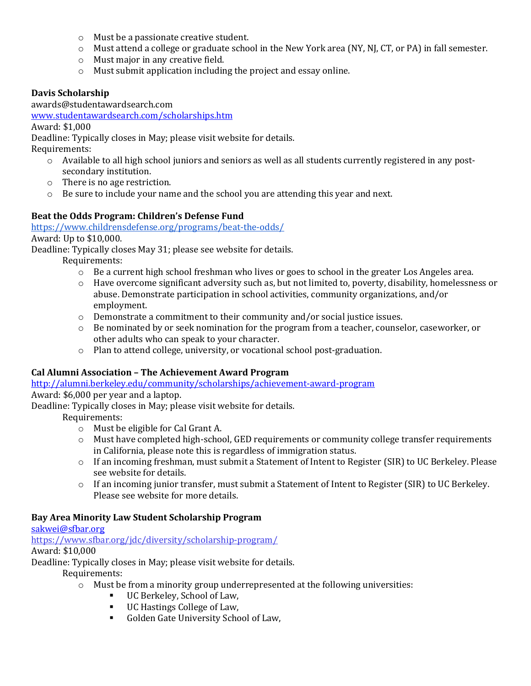- $\circ$  Must be a passionate creative student.
- $\circ$  Must attend a college or graduate school in the New York area (NY, NJ, CT, or PA) in fall semester.
- $\circ$  Must major in any creative field.
- $\circ$  Must submit application including the project and essay online.

## **Davis Scholarship**

awards@studentawardsearch.com 

www.studentawardsearch.com/scholarships.htm

Award: \$1,000

Deadline: Typically closes in May; please visit website for details.

Requirements:

- $\circ$  Available to all high school juniors and seniors as well as all students currently registered in any postsecondary institution.
- $\circ$  There is no age restriction.
- $\circ$  Be sure to include your name and the school you are attending this year and next.

## Beat the Odds Program: Children's Defense Fund

https://www.childrensdefense.org/programs/beat-the-odds/

Award: Up to \$10,000.

Deadline: Typically closes May 31; please see website for details.

Requirements:

- $\circ$  Be a current high school freshman who lives or goes to school in the greater Los Angeles area.
- $\circ$  Have overcome significant adversity such as, but not limited to, poverty, disability, homelessness or abuse. Demonstrate participation in school activities, community organizations, and/or employment.
- $\circ$  Demonstrate a commitment to their community and/or social justice issues.
- $\circ$  Be nominated by or seek nomination for the program from a teacher, counselor, caseworker, or other adults who can speak to your character.
- $\circ$  Plan to attend college, university, or vocational school post-graduation.

## **Cal Alumni Association – The Achievement Award Program**

http://alumni.berkeley.edu/community/scholarships/achievement-award-program

Award: \$6,000 per year and a laptop.

Deadline: Typically closes in May; please visit website for details.

Requirements:

- $\circ$  Must be eligible for Cal Grant A.
- $\circ$  Must have completed high-school, GED requirements or community college transfer requirements in California, please note this is regardless of immigration status.
- $\circ$  If an incoming freshman, must submit a Statement of Intent to Register (SIR) to UC Berkeley. Please see website for details.
- $\circ$  If an incoming junior transfer, must submit a Statement of Intent to Register (SIR) to UC Berkeley. Please see website for more details.

## **Bay Area Minority Law Student Scholarship Program**

sakwei@sfbar.org

https://www.sfbar.org/jdc/diversity/scholarship-program/

Award: \$10,000

Deadline: Typically closes in May; please visit website for details.

- $\circ$  Must be from a minority group underrepresented at the following universities:
	- UC Berkeley, School of Law,
	- UC Hastings College of Law,
	- Golden Gate University School of Law,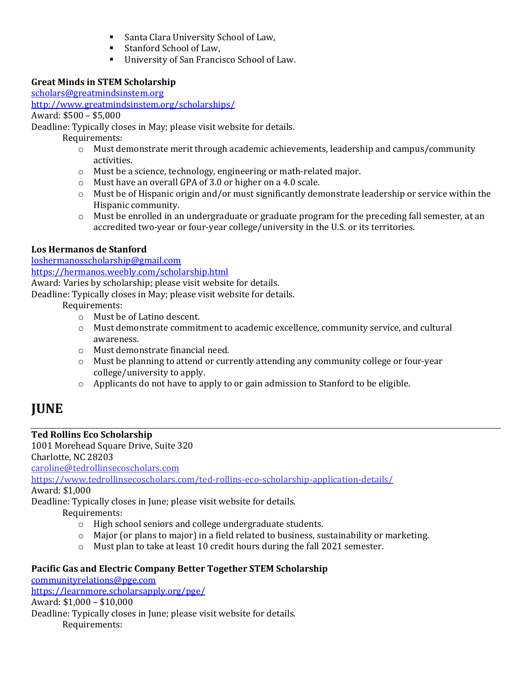- Santa Clara University School of Law,
- Stanford School of Law,
- University of San Francisco School of Law.

## **Great Minds in STEM Scholarship**

scholars@greatmindsinstem.org http://www.greatmindsinstem.org/scholarships/

Award: \$500 - \$5,000

Deadline: Typically closes in May; please visit website for details.

Requirements: 

- $\circ$  Must demonstrate merit through academic achievements, leadership and campus/community activities.
- $\circ$  Must be a science, technology, engineering or math-related major.
- $\circ$  Must have an overall GPA of 3.0 or higher on a 4.0 scale.
- $\circ$  Must be of Hispanic origin and/or must significantly demonstrate leadership or service within the Hispanic community.
- $\circ$  Must be enrolled in an undergraduate or graduate program for the preceding fall semester, at an accredited two-year or four-year college/university in the U.S. or its territories.

## **Los Hermanos de Stanford**

loshermanosscholarship@gmail.com

https://hermanos.weebly.com/scholarship.html

Award: Varies by scholarship; please visit website for details.

Deadline: Typically closes in May; please visit website for details.

Requirements:

- o Must be of Latino descent.
- $\circ$  Must demonstrate commitment to academic excellence, community service, and cultural awareness.
- $\circ$  Must demonstrate financial need.
- $\circ$  Must be planning to attend or currently attending any community college or four-year college/university to apply.
- $\circ$  Applicants do not have to apply to or gain admission to Stanford to be eligible.

## **JUNE**

## **Ted Rollins Eco Scholarship**

1001 Morehead Square Drive, Suite 320 Charlotte, NC 28203

caroline@tedrollinsecoscholars.com

https://www.tedrollinsecoscholars.com/ted-rollins-eco-scholarship-application-details/

Award: \$1,000

Deadline: Typically closes in June; please visit website for details.

Requirements:

- o High school seniors and college undergraduate students.
- $\circ$  Major (or plans to major) in a field related to business, sustainability or marketing.
- $\circ$  Must plan to take at least 10 credit hours during the fall 2021 semester.

## Pacific Gas and Electric Company Better Together STEM Scholarship

communityrelations@pge.com https://learnmore.scholarsapply.org/pge/ Award: \$1,000 - \$10,000 Deadline: Typically closes in June; please visit website for details. Requirements: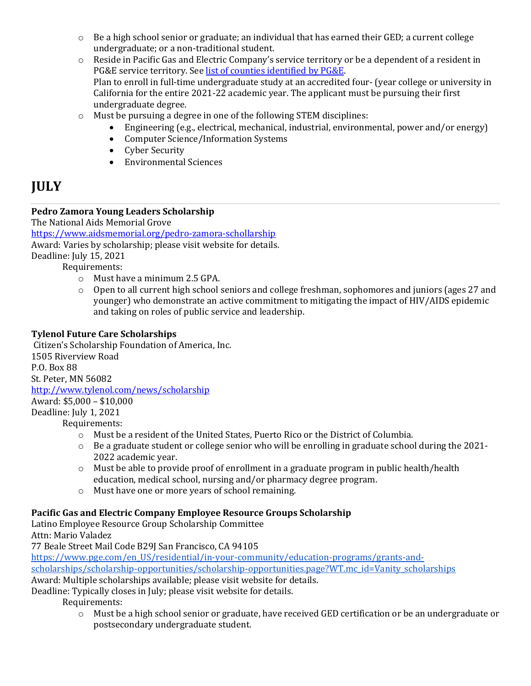- $\circ$  Be a high school senior or graduate; an individual that has earned their GED; a current college undergraduate; or a non-traditional student.
- $\circ$  Reside in Pacific Gas and Electric Company's service territory or be a dependent of a resident in PG&E service territory. See list of counties identified by PG&E. Plan to enroll in full-time undergraduate study at an accredited four- (year college or university in California for the entire  $2021-22$  academic year. The applicant must be pursuing their first undergraduate degree.
- $\circ$  Must be pursuing a degree in one of the following STEM disciplines:
	- Engineering  $(e.g., electrical, mechanical, industrial, environmental, power and/or energy)$
	- Computer Science/Information Systems
	- Cyber Security
	- Environmental Sciences

## **JULY**

## **Pedro Zamora Young Leaders Scholarship**

The National Aids Memorial Grove

https://www.aidsmemorial.org/pedro-zamora-schollarship

Award: Varies by scholarship; please visit website for details.

Deadline: July 15, 2021

Requirements:

- $\circ$  Must have a minimum 2.5 GPA.
- $\circ$  Open to all current high school seniors and college freshman, sophomores and juniors (ages 27 and younger) who demonstrate an active commitment to mitigating the impact of HIV/AIDS epidemic and taking on roles of public service and leadership.

## **Tylenol Future Care Scholarships**

Citizen's Scholarship Foundation of America, Inc. 1505 Riverview Road P.O. Box 88 St. Peter, MN 56082 http://www.tylenol.com/news/scholarship Award: \$5,000 - \$10,000 Deadline: July 1, 2021 Requirements:

- $\circ$  Must be a resident of the United States, Puerto Rico or the District of Columbia.
- o Be a graduate student or college senior who will be enrolling in graduate school during the 2021-2022 academic year.
- $\circ$  Must be able to provide proof of enrollment in a graduate program in public health/health education, medical school, nursing and/or pharmacy degree program.
- o Must have one or more years of school remaining.

## Pacific Gas and Electric Company Employee Resource Groups Scholarship

Latino Employee Resource Group Scholarship Committee Attn: Mario Valadez

77 Beale Street Mail Code B29J San Francisco, CA 94105

https://www.pge.com/en\_US/residential/in-your-community/education-programs/grants-and-

scholarships/scholarship-opportunities/scholarship-opportunities.page?WT.mc\_id=Vanity\_scholarships

Award: Multiple scholarships available; please visit website for details.

Deadline: Typically closes in July; please visit website for details.

Requirements:

 $\circ$  Must be a high school senior or graduate, have received GED certification or be an undergraduate or postsecondary undergraduate student.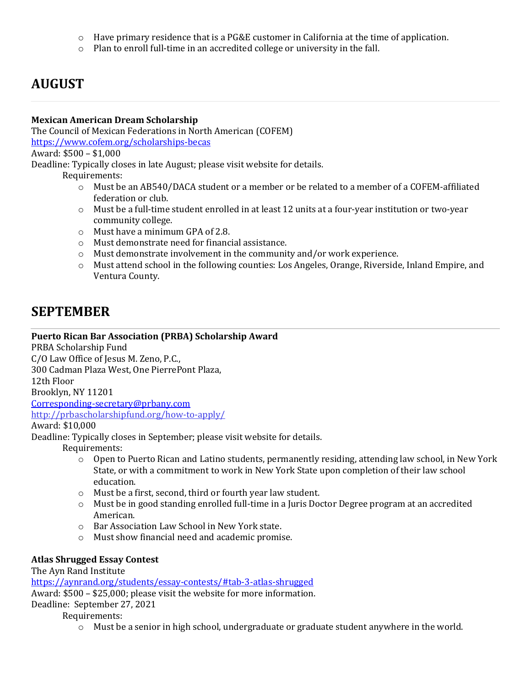- $\circ$  Have primary residence that is a PG&E customer in California at the time of application.
- $\circ$  Plan to enroll full-time in an accredited college or university in the fall.

## **AUGUST**

## **Mexican American Dream Scholarship**

The Council of Mexican Federations in North American (COFEM) https://www.cofem.org/scholarships-becas Award: \$500 - \$1,000

Deadline: Typically closes in late August; please visit website for details.

Requirements:

- $\circ$  Must be an AB540/DACA student or a member or be related to a member of a COFEM-affiliated federation or club.
- o Must be a full-time student enrolled in at least 12 units at a four-year institution or two-year community college.
- $\circ$  Must have a minimum GPA of 2.8.
- $\circ$  Must demonstrate need for financial assistance.
- $\circ$  Must demonstrate involvement in the community and/or work experience.
- $\circ$  Must attend school in the following counties: Los Angeles, Orange, Riverside, Inland Empire, and Ventura County.

## **SEPTEMBER**

## Puerto Rican Bar Association (PRBA) Scholarship Award

PRBA Scholarship Fund C/O Law Office of Jesus M. Zeno, P.C., 300 Cadman Plaza West, One PierrePont Plaza, 12th Floor Brooklyn, NY 11201 Corresponding-secretary@prbany.com http://prbascholarshipfund.org/how-to-apply/

## Award: \$10,000

Deadline: Typically closes in September; please visit website for details.

Requirements:

- $\circ$  Open to Puerto Rican and Latino students, permanently residing, attending law school, in New York State, or with a commitment to work in New York State upon completion of their law school education.
- $\circ$  Must be a first, second, third or fourth year law student.
- $\circ$  Must be in good standing enrolled full-time in a Juris Doctor Degree program at an accredited American.
- o Bar Association Law School in New York state.
- $\circ$  Must show financial need and academic promise.

## **Atlas Shrugged Essay Contest**

## The Ayn Rand Institute

https://aynrand.org/students/essay-contests/#tab-3-atlas-shrugged Award: \$500 - \$25,000; please visit the website for more information. Deadline: September 27, 2021

## Requirements:

 $\circ$  Must be a senior in high school, undergraduate or graduate student anywhere in the world.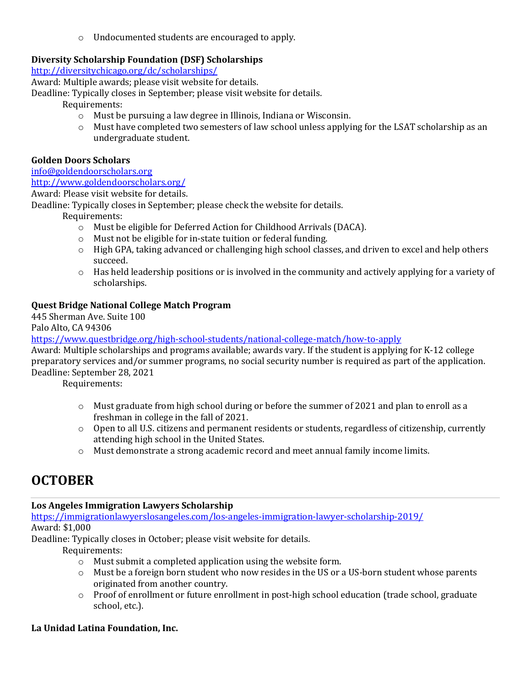$\circ$  Undocumented students are encouraged to apply.

## **Diversity Scholarship Foundation (DSF) Scholarships**

http://diversitychicago.org/dc/scholarships/

Award: Multiple awards; please visit website for details.

Deadline: Typically closes in September; please visit website for details.

Requirements:

- $\circ$  Must be pursuing a law degree in Illinois, Indiana or Wisconsin.
- $\circ$  Must have completed two semesters of law school unless applying for the LSAT scholarship as an undergraduate student.

#### **Golden Doors Scholars**

info@goldendoorscholars.org

## http://www.goldendoorscholars.org/

Award: Please visit website for details.

Deadline: Typically closes in September; please check the website for details.

Requirements:

- o Must be eligible for Deferred Action for Childhood Arrivals (DACA).
- o Must not be eligible for in-state tuition or federal funding.
- $\circ$  High GPA, taking advanced or challenging high school classes, and driven to excel and help others succeed.
- $\circ$  Has held leadership positions or is involved in the community and actively applying for a variety of scholarships.

## **Quest Bridge National College Match Program**

445 Sherman Ave. Suite 100

Palo Alto, CA 94306

https://www.questbridge.org/high-school-students/national-college-match/how-to-apply

Award: Multiple scholarships and programs available; awards vary. If the student is applying for K-12 college preparatory services and/or summer programs, no social security number is required as part of the application. Deadline: September 28, 2021

Requirements: 

- $\circ$  Must graduate from high school during or before the summer of 2021 and plan to enroll as a freshman in college in the fall of 2021.
- o Open to all U.S. citizens and permanent residents or students, regardless of citizenship, currently attending high school in the United States.
- $\circ$  Must demonstrate a strong academic record and meet annual family income limits.

## **OCTOBER**

## Los Angeles Immigration Lawyers Scholarship

https://immigrationlawyerslosangeles.com/los-angeles-immigration-lawyer-scholarship-2019/ Award: \$1,000

Deadline: Typically closes in October; please visit website for details.

Requirements:

- $\circ$  Must submit a completed application using the website form.
- $\circ$  Must be a foreign born student who now resides in the US or a US-born student whose parents originated from another country.
- o Proof of enrollment or future enrollment in post-high school education (trade school, graduate school, etc.).

## La Unidad Latina Foundation, Inc.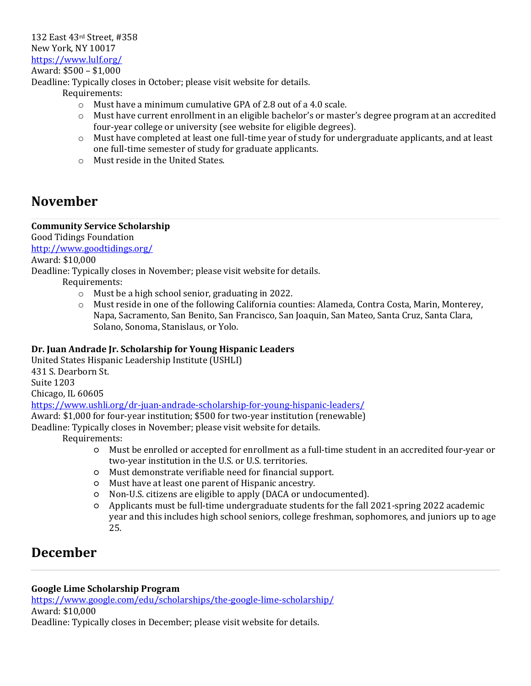132 East 43rd Street, #358 New York, NY 10017 https://www.lulf.org/ Award: \$500 - \$1,000

Deadline: Typically closes in October; please visit website for details.

Requirements:

- $\circ$  Must have a minimum cumulative GPA of 2.8 out of a 4.0 scale.
- $\circ$  Must have current enrollment in an eligible bachelor's or master's degree program at an accredited four-year college or university (see website for eligible degrees).
- o Must have completed at least one full-time year of study for undergraduate applicants, and at least one full-time semester of study for graduate applicants.
- $\circ$  Must reside in the United States.

## **November**

#### **Community Service Scholarship**

Good Tidings Foundation http://www.goodtidings.org/

Award: \$10,000

Deadline: Typically closes in November; please visit website for details.

Requirements:

- $\circ$  Must be a high school senior, graduating in 2022.
- $\circ$  Must reside in one of the following California counties: Alameda, Contra Costa, Marin, Monterey, Napa, Sacramento, San Benito, San Francisco, San Joaquin, San Mateo, Santa Cruz, Santa Clara, Solano, Sonoma, Stanislaus, or Yolo.

## Dr. Juan Andrade Jr. Scholarship for Young Hispanic Leaders

United States Hispanic Leadership Institute (USHLI) 431 S. Dearborn St. Suite 1203 Chicago, IL 60605 https://www.ushli.org/dr-juan-andrade-scholarship-for-young-hispanic-leaders/ Award: \$1,000 for four-year institution; \$500 for two-year institution (renewable)

Deadline: Typically closes in November; please visit website for details.

Requirements:

- $\circ$  Must be enrolled or accepted for enrollment as a full-time student in an accredited four-year or two-year institution in the U.S. or U.S. territories.
- Must demonstrate verifiable need for financial support.
- $\circ$  Must have at least one parent of Hispanic ancestry.
- $\circ$  Non-U.S. citizens are eligible to apply (DACA or undocumented).
- $\circ$  Applicants must be full-time undergraduate students for the fall 2021-spring 2022 academic year and this includes high school seniors, college freshman, sophomores, and juniors up to age 25.

## **December**

## **Google Lime Scholarship Program**

https://www.google.com/edu/scholarships/the-google-lime-scholarship/ Award: \$10,000 Deadline: Typically closes in December; please visit website for details.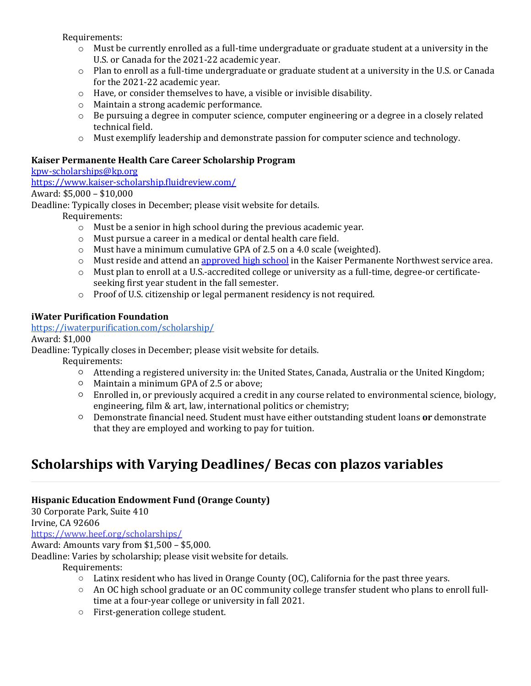Requirements:

- $\circ$  Must be currently enrolled as a full-time undergraduate or graduate student at a university in the U.S. or Canada for the 2021-22 academic year.
- $\circ$  Plan to enroll as a full-time undergraduate or graduate student at a university in the U.S. or Canada for the 2021-22 academic year.
- $\circ$  Have, or consider themselves to have, a visible or invisible disability.
- $\circ$  Maintain a strong academic performance.
- $\circ$  Be pursuing a degree in computer science, computer engineering or a degree in a closely related technical field.
- o Must exemplify leadership and demonstrate passion for computer science and technology.

#### **Kaiser Permanente Health Care Career Scholarship Program**

## kpw-scholarships@kp.org

https://www.kaiser-scholarship.fluidreview.com/

## Award: \$5,000 - \$10,000

Deadline: Typically closes in December; please visit website for details.

Requirements: 

- $\circ$  Must be a senior in high school during the previous academic year.
- $\circ$  Must pursue a career in a medical or dental health care field.
- $\circ$  Must have a minimum cumulative GPA of 2.5 on a 4.0 scale (weighted).
- $\circ$  Must reside and attend an approved high school in the Kaiser Permanente Northwest service area.
- o Must plan to enroll at a U.S.-accredited college or university as a full-time, degree-or certificateseeking first year student in the fall semester.
- $\circ$  Proof of U.S. citizenship or legal permanent residency is not required.

## **iWater Purification Foundation**

https://iwaterpurification.com/scholarship/

Award: \$1,000

Deadline: Typically closes in December; please visit website for details.

Requirements:

- $\circ$  Attending a registered university in: the United States, Canada, Australia or the United Kingdom;
- $\circ$  Maintain a minimum GPA of 2.5 or above;
- Enrolled in, or previously acquired a credit in any course related to environmental science, biology, engineering, film & art, law, international politics or chemistry;
- Demonstrate financial need. Student must have either outstanding student loans or demonstrate that they are employed and working to pay for tuition.

## **Scholarships with Varying Deadlines/ Becas con plazos variables**

## **Hispanic Education Endowment Fund (Orange County)**

30 Corporate Park, Suite 410

Irvine, CA 92606

https://www.heef.org/scholarships/

Award: Amounts vary from  $$1,500 - $5,000$ .

Deadline: Varies by scholarship; please visit website for details.

- $\circ$  Latinx resident who has lived in Orange County (OC), California for the past three years.
- $\circ$  An OC high school graduate or an OC community college transfer student who plans to enroll fulltime at a four-year college or university in fall 2021.
- First-generation college student.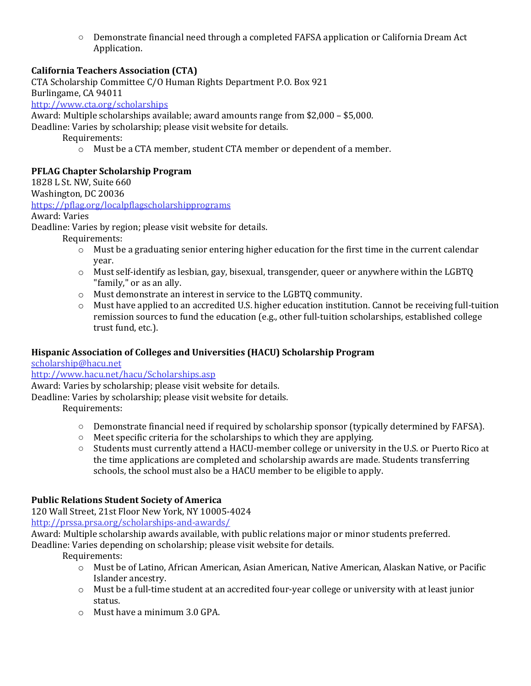$\circ$  Demonstrate financial need through a completed FAFSA application or California Dream Act Application.

## **California Teachers Association (CTA)**

CTA Scholarship Committee C/O Human Rights Department P.O. Box 921 Burlingame, CA 94011 http://www.cta.org/scholarships Award: Multiple scholarships available; award amounts range from \$2,000 - \$5,000. Deadline: Varies by scholarship; please visit website for details. Requirements:  $\circ$  Must be a CTA member, student CTA member or dependent of a member.

## **PFLAG Chapter Scholarship Program**

1828 L St. NW, Suite 660

Washington, DC 20036

https://pflag.org/localpflagscholarshipprograms

Award: Varies

Deadline: Varies by region; please visit website for details.

Requirements: 

- $\circ$  Must be a graduating senior entering higher education for the first time in the current calendar year.
- $\circ$  Must self-identify as lesbian, gay, bisexual, transgender, queer or anywhere within the LGBTQ "family," or as an ally.
- $\circ$  Must demonstrate an interest in service to the LGBTQ community.
- o Must have applied to an accredited U.S. higher education institution. Cannot be receiving full-tuition remission sources to fund the education (e.g., other full-tuition scholarships, established college trust fund, etc.).

## Hispanic Association of Colleges and Universities (HACU) Scholarship Program

scholarship@hacu.net

http://www.hacu.net/hacu/Scholarships.asp

Award: Varies by scholarship; please visit website for details.

Deadline: Varies by scholarship; please visit website for details.

Requirements: 

- $\circ$  Demonstrate financial need if required by scholarship sponsor (typically determined by FAFSA).
- $\circ$  Meet specific criteria for the scholarships to which they are applying.
- $\circ$  Students must currently attend a HACU-member college or university in the U.S. or Puerto Rico at the time applications are completed and scholarship awards are made. Students transferring schools, the school must also be a HACU member to be eligible to apply.

## **Public Relations Student Society of America**

120 Wall Street, 21st Floor New York, NY 10005-4024

http://prssa.prsa.org/scholarships-and-awards/

Award: Multiple scholarship awards available, with public relations major or minor students preferred. Deadline: Varies depending on scholarship; please visit website for details.

- $\circ$  Must be of Latino, African American, Asian American, Native American, Alaskan Native, or Pacific Islander ancestry.
- $\circ$  Must be a full-time student at an accredited four-year college or university with at least junior status.
- $\circ$  Must have a minimum 3.0 GPA.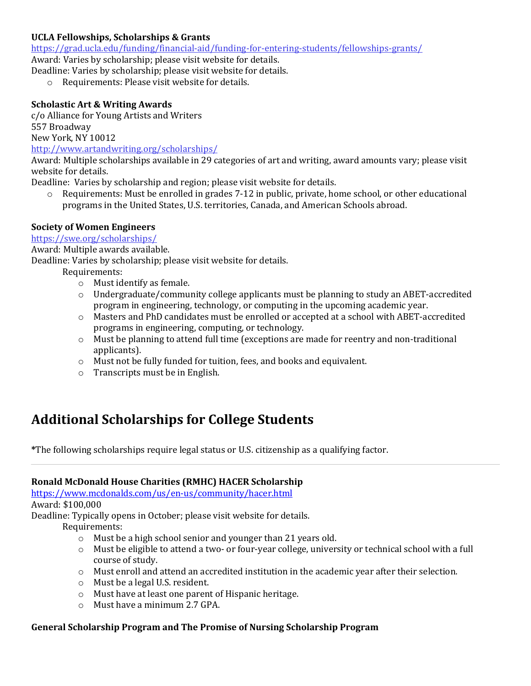## **UCLA Fellowships, Scholarships & Grants**

https://grad.ucla.edu/funding/financial-aid/funding-for-entering-students/fellowships-grants/

Award: Varies by scholarship; please visit website for details.

Deadline: Varies by scholarship; please visit website for details.

 $\circ$  Requirements: Please visit website for details.

## **Scholastic Art & Writing Awards**

c/o Alliance for Young Artists and Writers 557 Broadway 

New York, NY 10012

http://www.artandwriting.org/scholarships/

Award: Multiple scholarships available in 29 categories of art and writing, award amounts vary; please visit website for details.

Deadline: Varies by scholarship and region; please visit website for details.

 $\circ$  Requirements: Must be enrolled in grades 7-12 in public, private, home school, or other educational programs in the United States, U.S. territories, Canada, and American Schools abroad.

## **Society of Women Engineers**

https://swe.org/scholarships/

Award: Multiple awards available.

Deadline: Varies by scholarship; please visit website for details.

Requirements:

- $\circ$  Must identify as female.
- $\circ$  Undergraduate/community college applicants must be planning to study an ABET-accredited program in engineering, technology, or computing in the upcoming academic year.
- $\circ$  Masters and PhD candidates must be enrolled or accepted at a school with ABET-accredited programs in engineering, computing, or technology.
- $\circ$  Must be planning to attend full time (exceptions are made for reentry and non-traditional applicants).
- o Must not be fully funded for tuition, fees, and books and equivalent.
- $\circ$  Transcripts must be in English.

## **Additional Scholarships for College Students**

\*The following scholarships require legal status or U.S. citizenship as a qualifying factor.

## **Ronald McDonald House Charities (RMHC) HACER Scholarship**

https://www.mcdonalds.com/us/en-us/community/hacer.html Award: \$100,000

Deadline: Typically opens in October; please visit website for details.

Requirements:

- $\circ$  Must be a high school senior and younger than 21 years old.
- $\circ$  Must be eligible to attend a two- or four-year college, university or technical school with a full course of study.
- $\circ$  Must enroll and attend an accredited institution in the academic year after their selection.
- $\circ$  Must be a legal U.S. resident.
- $\circ$  Must have at least one parent of Hispanic heritage.
- $\circ$  Must have a minimum 2.7 GPA.

## **General Scholarship Program and The Promise of Nursing Scholarship Program**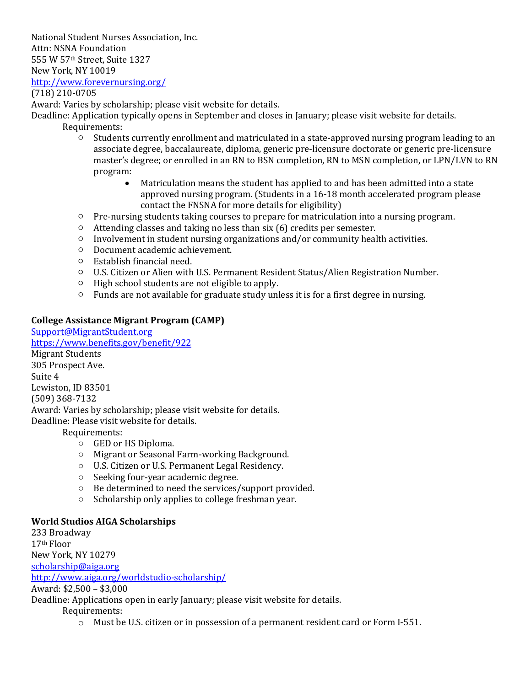National Student Nurses Association, Inc. Attn: NSNA Foundation 555 W 57th Street, Suite 1327 New York, NY 10019 http://www.forevernursing.org/ 

(718) 210-0705

Award: Varies by scholarship; please visit website for details.

Deadline: Application typically opens in September and closes in January; please visit website for details. Requirements: 

- Students currently enrollment and matriculated in a state-approved nursing program leading to an associate degree, baccalaureate, diploma, generic pre-licensure doctorate or generic pre-licensure master's degree; or enrolled in an RN to BSN completion, RN to MSN completion, or LPN/LVN to RN program:
	- Matriculation means the student has applied to and has been admitted into a state approved nursing program. (Students in a 16-18 month accelerated program please contact the FNSNA for more details for eligibility)
- $\circ$  Pre-nursing students taking courses to prepare for matriculation into a nursing program.
- $\circ$  Attending classes and taking no less than six (6) credits per semester.
- $\circ$  Involvement in student nursing organizations and/or community health activities.
- Document academic achievement.
- Establish financial need.
- U.S. Citizen or Alien with U.S. Permanent Resident Status/Alien Registration Number.
- High school students are not eligible to apply.
- $\circ$  Funds are not available for graduate study unless it is for a first degree in nursing.

## **College Assistance Migrant Program (CAMP)**

Support@MigrantStudent.org https://www.benefits.gov/benefit/922 **Migrant Students** 305 Prospect Ave. Suite 4 Lewiston, ID 83501 (509) 368-7132 Award: Varies by scholarship; please visit website for details. Deadline: Please visit website for details. Requirements:

- $\circ$  GED or HS Diploma.
- Migrant or Seasonal Farm-working Background.
- U.S. Citizen or U.S. Permanent Legal Residency.
- $\circ$  Seeking four-year academic degree.
- $\circ$  Be determined to need the services/support provided.
- $\circ$  Scholarship only applies to college freshman year.

#### **World Studios AIGA Scholarships**

233 Broadway 17th Floor New York, NY 10279 scholarship@aiga.org http://www.aiga.org/worldstudio-scholarship/ Award: \$2,500 - \$3,000 Deadline: Applications open in early January; please visit website for details.

Requirements: 

 $\circ$  Must be U.S. citizen or in possession of a permanent resident card or Form I-551.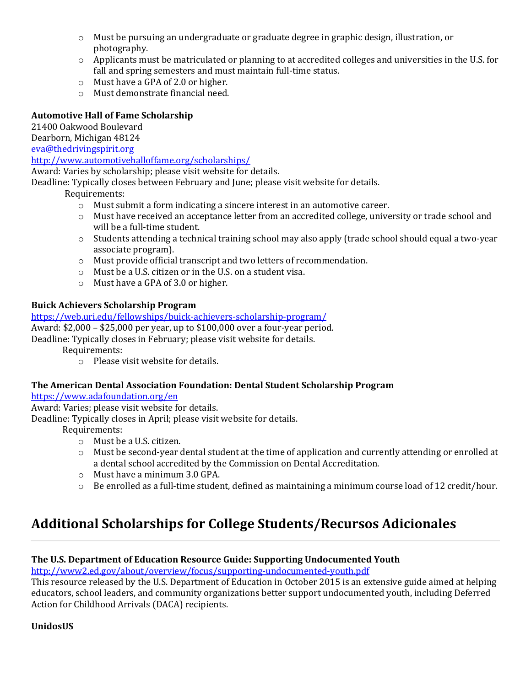- $\circ$  Must be pursuing an undergraduate or graduate degree in graphic design, illustration, or photography.
- $\circ$  Applicants must be matriculated or planning to at accredited colleges and universities in the U.S. for fall and spring semesters and must maintain full-time status.
- $\circ$  Must have a GPA of 2.0 or higher.
- $\circ$  Must demonstrate financial need.

## **Automotive Hall of Fame Scholarship**

21400 Oakwood Boulevard

Dearborn, Michigan 48124

eva@thedrivingspirit.org

http://www.automotivehalloffame.org/scholarships/ 

Award: Varies by scholarship; please visit website for details.

Deadline: Typically closes between February and June; please visit website for details.

 Requirements:

- $\circ$  Must submit a form indicating a sincere interest in an automotive career.
- $\circ$  Must have received an acceptance letter from an accredited college, university or trade school and will be a full-time student.
- o Students attending a technical training school may also apply (trade school should equal a two-year associate program).
- $\circ$  Must provide official transcript and two letters of recommendation.
- $\circ$  Must be a U.S. citizen or in the U.S. on a student visa.
- $\circ$  Must have a GPA of 3.0 or higher.

## **Buick Achievers Scholarship Program**

https://web.uri.edu/fellowships/buick-achievers-scholarship-program/ Award:  $$2,000 - $25,000$  per year, up to  $$100,000$  over a four-year period.

Deadline: Typically closes in February; please visit website for details.

Requirements: 

 $\circ$  Please visit website for details.

## The American Dental Association Foundation: Dental Student Scholarship Program

https://www.adafoundation.org/en

Award: Varies; please visit website for details.

Deadline: Typically closes in April; please visit website for details.

Requirements: 

- $\circ$  Must be a U.S. citizen.
- $\circ$  Must be second-year dental student at the time of application and currently attending or enrolled at a dental school accredited by the Commission on Dental Accreditation.
- $\circ$  Must have a minimum 3.0 GPA.
- o Be enrolled as a full-time student, defined as maintaining a minimum course load of 12 credit/hour.

## **Additional Scholarships for College Students/Recursos Adicionales**

## The U.S. Department of Education Resource Guide: Supporting Undocumented Youth

http://www2.ed.gov/about/overview/focus/supporting-undocumented-youth.pdf

This resource released by the U.S. Department of Education in October 2015 is an extensive guide aimed at helping educators, school leaders, and community organizations better support undocumented youth, including Deferred Action for Childhood Arrivals (DACA) recipients.

## **UnidosUS**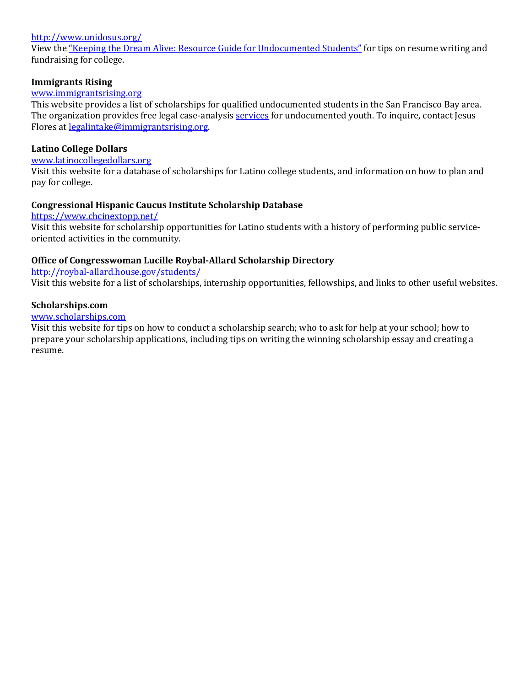#### http://www.unidosus.org/

View the "Keeping the Dream Alive: Resource Guide for Undocumented Students" for tips on resume writing and fundraising for college.

#### **Immigrants Rising**

#### www.immigrantsrising.org

This website provides a list of scholarships for qualified undocumented students in the San Francisco Bay area. The organization provides free legal case-analysis services for undocumented youth. To inquire, contact Jesus Flores at <u>legalintake@immigrantsrising.org</u>.

#### **Latino College Dollars**

#### www.latinocollegedollars.org

Visit this website for a database of scholarships for Latino college students, and information on how to plan and pay for college.

#### **Congressional Hispanic Caucus Institute Scholarship Database**

https://www.chcinextopp.net/

Visit this website for scholarship opportunities for Latino students with a history of performing public serviceoriented activities in the community.

#### **Office of Congresswoman Lucille Roybal-Allard Scholarship Directory**

http://roybal-allard.house.gov/students/

Visit this website for a list of scholarships, internship opportunities, fellowships, and links to other useful websites.

#### **Scholarships.com**

#### www.scholarships.com

Visit this website for tips on how to conduct a scholarship search; who to ask for help at your school; how to prepare your scholarship applications, including tips on writing the winning scholarship essay and creating a resume.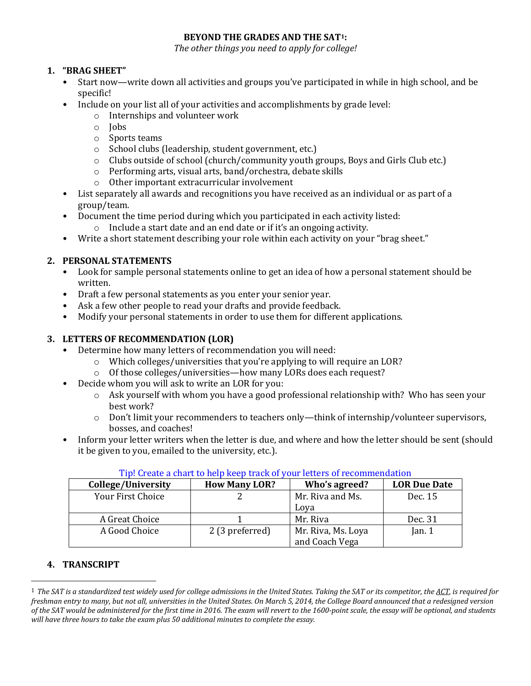## **BEYOND THE GRADES AND THE SAT1:**

The other things you need to apply for college!

## **1. "BRAG SHEET"**

- Start now—write down all activities and groups you've participated in while in high school, and be specific!
- Include on your list all of your activities and accomplishments by grade level:
	- $\circ$  Internships and volunteer work
	- o Jobs
	- o Sports teams
	- $\circ$  School clubs (leadership, student government, etc.)
	- $\circ$  Clubs outside of school (church/community youth groups, Boys and Girls Club etc.)
	- $\circ$  Performing arts, visual arts, band/orchestra, debate skills
	- $\circ$  Other important extracurricular involvement
- List separately all awards and recognitions you have received as an individual or as part of a group/team.
- Document the time period during which you participated in each activity listed:
	- $\circ$  Include a start date and an end date or if it's an ongoing activity.
- Write a short statement describing your role within each activity on your "brag sheet."

## **2. PERSONAL STATEMENTS**

- Look for sample personal statements online to get an idea of how a personal statement should be written.
- Draft a few personal statements as you enter your senior year.
- Ask a few other people to read your drafts and provide feedback.
- Modify your personal statements in order to use them for different applications.

## **3. LETTERS OF RECOMMENDATION (LOR)**

- Determine how many letters of recommendation you will need:
	- $\circ$  Which colleges/universities that you're applying to will require an LOR?
	- $\circ$  Of those colleges/universities—how many LORs does each request?
- Decide whom you will ask to write an LOR for you:
	- $\circ$  Ask yourself with whom you have a good professional relationship with? Who has seen your best work?
	- o Don't limit your recommenders to teachers only—think of internship/volunteer supervisors, bosses, and coaches!
- Inform your letter writers when the letter is due, and where and how the letter should be sent (should it be given to you, emailed to the university, etc.).

| College/University       | <b>How Many LOR?</b> | Who's agreed?                        | <b>LOR Due Date</b> |
|--------------------------|----------------------|--------------------------------------|---------------------|
| <b>Your First Choice</b> |                      | Mr. Riva and Ms.                     | Dec. 15             |
|                          |                      | Lova                                 |                     |
| A Great Choice           |                      | Mr. Riva                             | Dec. 31             |
| A Good Choice            | 2 (3 preferred)      | Mr. Riva, Ms. Loya<br>and Coach Vega | Jan. $1$            |

## Tip! Create a chart to help keep track of your letters of recommendation

## **4. TRANSCRIPT**

<sup>&</sup>lt;sup>1</sup> The SAT is a standardized test widely used for college admissions in the United States. Taking the SAT or its competitor, the ACT, is required for *freshman entry to many, but not all, universities in the United States. On March 5, 2014, the College Board announced that a redesigned version* of the SAT would be administered for the first time in 2016. The exam will revert to the 1600-point scale, the essay will be optional, and students will have three hours to take the exam plus 50 additional minutes to complete the essay.